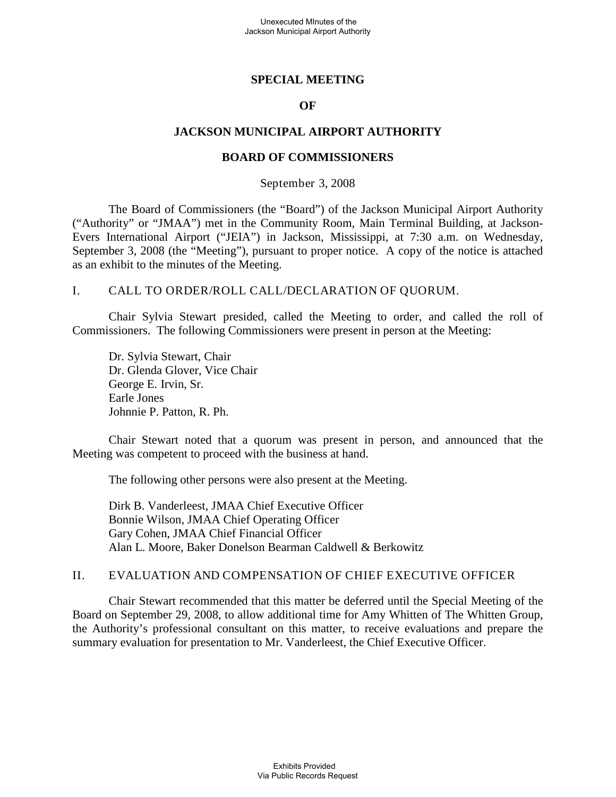# **SPECIAL MEETING**

## **OF**

# **JACKSON MUNICIPAL AIRPORT AUTHORITY**

#### **BOARD OF COMMISSIONERS**

#### September 3, 2008

The Board of Commissioners (the "Board") of the Jackson Municipal Airport Authority ("Authority" or "JMAA") met in the Community Room, Main Terminal Building, at Jackson-Evers International Airport ("JEIA") in Jackson, Mississippi, at 7:30 a.m. on Wednesday, September 3, 2008 (the "Meeting"), pursuant to proper notice. A copy of the notice is attached as an exhibit to the minutes of the Meeting.

#### I. CALL TO ORDER/ROLL CALL/DECLARATION OF QUORUM.

Chair Sylvia Stewart presided, called the Meeting to order, and called the roll of Commissioners. The following Commissioners were present in person at the Meeting:

Dr. Sylvia Stewart, Chair Dr. Glenda Glover, Vice Chair George E. Irvin, Sr. Earle Jones Johnnie P. Patton, R. Ph.

Chair Stewart noted that a quorum was present in person, and announced that the Meeting was competent to proceed with the business at hand.

The following other persons were also present at the Meeting.

Dirk B. Vanderleest, JMAA Chief Executive Officer Bonnie Wilson, JMAA Chief Operating Officer Gary Cohen, JMAA Chief Financial Officer Alan L. Moore, Baker Donelson Bearman Caldwell & Berkowitz

#### II. EVALUATION AND COMPENSATION OF CHIEF EXECUTIVE OFFICER

Chair Stewart recommended that this matter be deferred until the Special Meeting of the Board on September 29, 2008, to allow additional time for Amy Whitten of The Whitten Group, the Authority's professional consultant on this matter, to receive evaluations and prepare the summary evaluation for presentation to Mr. Vanderleest, the Chief Executive Officer.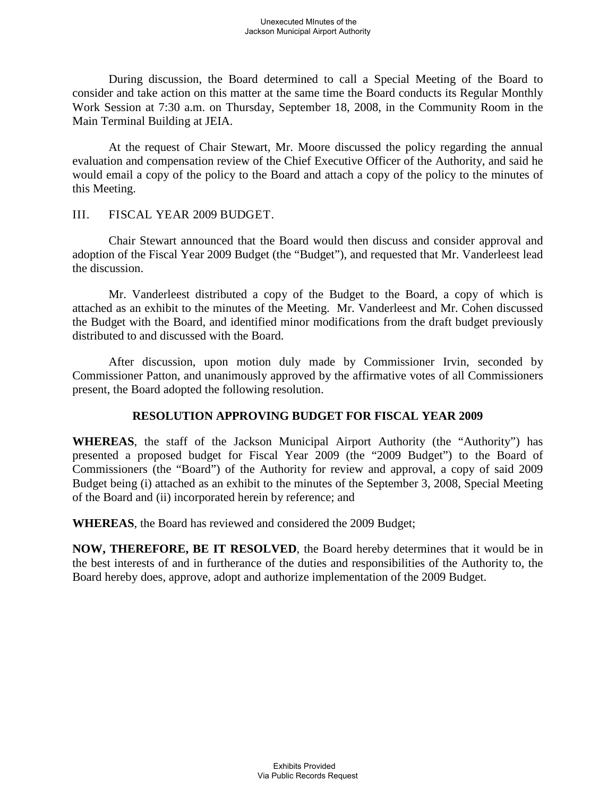During discussion, the Board determined to call a Special Meeting of the Board to consider and take action on this matter at the same time the Board conducts its Regular Monthly Work Session at 7:30 a.m. on Thursday, September 18, 2008, in the Community Room in the Main Terminal Building at JEIA.

At the request of Chair Stewart, Mr. Moore discussed the policy regarding the annual evaluation and compensation review of the Chief Executive Officer of the Authority, and said he would email a copy of the policy to the Board and attach a copy of the policy to the minutes of this Meeting.

# III. FISCAL YEAR 2009 BUDGET.

Chair Stewart announced that the Board would then discuss and consider approval and adoption of the Fiscal Year 2009 Budget (the "Budget"), and requested that Mr. Vanderleest lead the discussion.

Mr. Vanderleest distributed a copy of the Budget to the Board, a copy of which is attached as an exhibit to the minutes of the Meeting. Mr. Vanderleest and Mr. Cohen discussed the Budget with the Board, and identified minor modifications from the draft budget previously distributed to and discussed with the Board.

After discussion, upon motion duly made by Commissioner Irvin, seconded by Commissioner Patton, and unanimously approved by the affirmative votes of all Commissioners present, the Board adopted the following resolution.

# **RESOLUTION APPROVING BUDGET FOR FISCAL YEAR 2009**

**WHEREAS**, the staff of the Jackson Municipal Airport Authority (the "Authority") has presented a proposed budget for Fiscal Year 2009 (the "2009 Budget") to the Board of Commissioners (the "Board") of the Authority for review and approval, a copy of said 2009 Budget being (i) attached as an exhibit to the minutes of the September 3, 2008, Special Meeting of the Board and (ii) incorporated herein by reference; and

**WHEREAS**, the Board has reviewed and considered the 2009 Budget;

**NOW, THEREFORE, BE IT RESOLVED**, the Board hereby determines that it would be in the best interests of and in furtherance of the duties and responsibilities of the Authority to, the Board hereby does, approve, adopt and authorize implementation of the 2009 Budget.